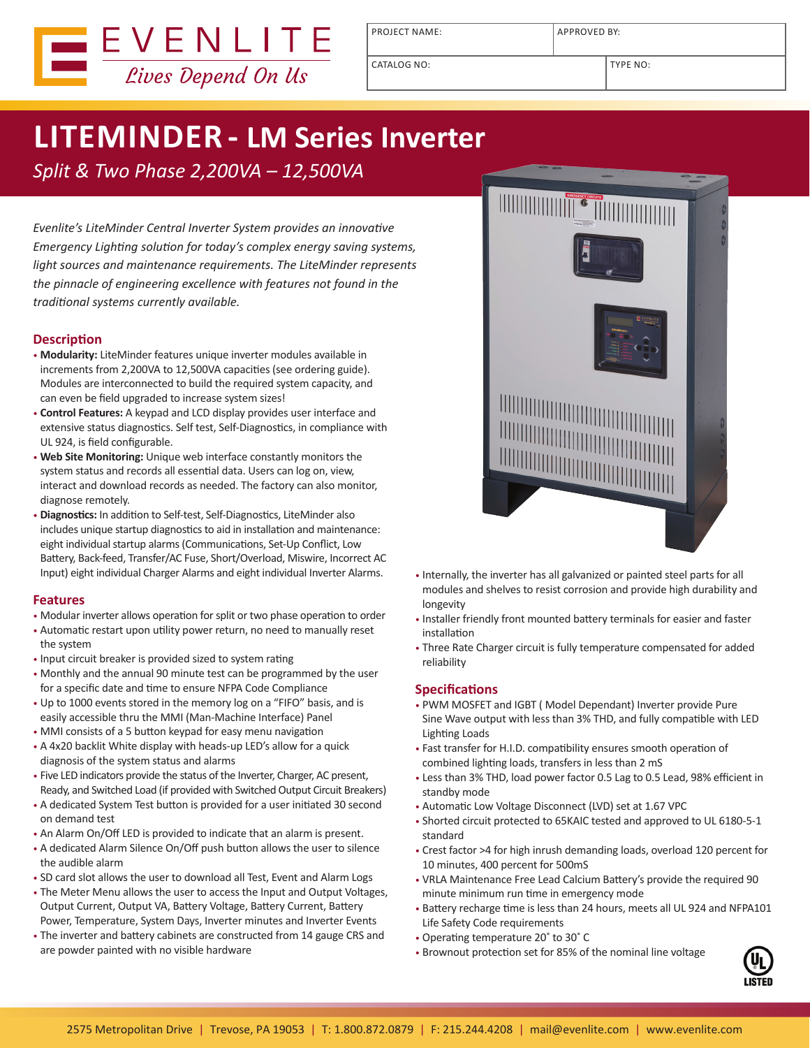

PROJECT NAME: APPROVED BY:

CATALOG NO: TYPE NO:

# **LITEMINDER - LM Series Inverter**

*Split & Two Phase 2,200VA – 12,500VA*

*Evenlite's LiteMinder Central Inverter System provides an innovative Emergency Lighting solution for today's complex energy saving systems, light sources and maintenance requirements. The LiteMinder represents the pinnacle of engineering excellence with features not found in the traditional systems currently available.*

## **Description**

- **Modularity:** LiteMinder features unique inverter modules available in increments from 2,200VA to 12,500VA capacities (see ordering guide). Modules are interconnected to build the required system capacity, and can even be field upgraded to increase system sizes!
- **Control Features:** A keypad and LCD display provides user interface and extensive status diagnostics. Self test, Self-Diagnostics, in compliance with UL 924, is field configurable.
- **Web Site Monitoring:** Unique web interface constantly monitors the system status and records all essential data. Users can log on, view, interact and download records as needed. The factory can also monitor, diagnose remotely.
- **Diagnostics:** In addition to Self-test, Self-Diagnostics, LiteMinder also includes unique startup diagnostics to aid in installation and maintenance: eight individual startup alarms (Communications, Set-Up Conflict, Low Battery, Back-feed, Transfer/AC Fuse, Short/Overload, Miswire, Incorrect AC Input) eight individual Charger Alarms and eight individual Inverter Alarms.

## **Features**

- Modular inverter allows operation for split or two phase operation to order
- Automatic restart upon utility power return, no need to manually reset the system
- Input circuit breaker is provided sized to system rating
- Monthly and the annual 90 minute test can be programmed by the user for a specific date and time to ensure NFPA Code Compliance
- Up to 1000 events stored in the memory log on a "FIFO" basis, and is easily accessible thru the MMI (Man-Machine Interface) Panel
- MMI consists of a 5 button keypad for easy menu navigation
- A 4x20 backlit White display with heads-up LED's allow for a quick diagnosis of the system status and alarms
- Five LED indicators provide the status of the Inverter, Charger, AC present, Ready, and Switched Load (if provided with Switched Output Circuit Breakers)
- A dedicated System Test button is provided for a user initiated 30 second on demand test
- An Alarm On/Off LED is provided to indicate that an alarm is present.
- A dedicated Alarm Silence On/Off push button allows the user to silence the audible alarm
- SD card slot allows the user to download all Test, Event and Alarm Logs
- The Meter Menu allows the user to access the Input and Output Voltages, Output Current, Output VA, Battery Voltage, Battery Current, Battery Power, Temperature, System Days, Inverter minutes and Inverter Events
- The inverter and battery cabinets are constructed from 14 gauge CRS and are powder painted with no visible hardware



- Internally, the inverter has all galvanized or painted steel parts for all modules and shelves to resist corrosion and provide high durability and longevity
- Installer friendly front mounted battery terminals for easier and faster installation
- Three Rate Charger circuit is fully temperature compensated for added reliability

## **Specifications**

- PWM MOSFET and IGBT ( Model Dependant) Inverter provide Pure Sine Wave output with less than 3% THD, and fully compatible with LED Lighting Loads
- Fast transfer for H.I.D. compatibility ensures smooth operation of combined lighting loads, transfers in less than 2 mS
- Less than 3% THD, load power factor 0.5 Lag to 0.5 Lead, 98% efficient in standby mode
- Automatic Low Voltage Disconnect (LVD) set at 1.67 VPC
- Shorted circuit protected to 65KAIC tested and approved to UL 6180-5-1 standard
- Crest factor >4 for high inrush demanding loads, overload 120 percent for 10 minutes, 400 percent for 500mS
- VRLA Maintenance Free Lead Calcium Battery's provide the required 90 minute minimum run time in emergency mode
- Battery recharge time is less than 24 hours, meets all UL 924 and NFPA101 Life Safety Code requirements
- Operating temperature 20˚ to 30˚ C
- Brownout protection set for 85% of the nominal line voltage